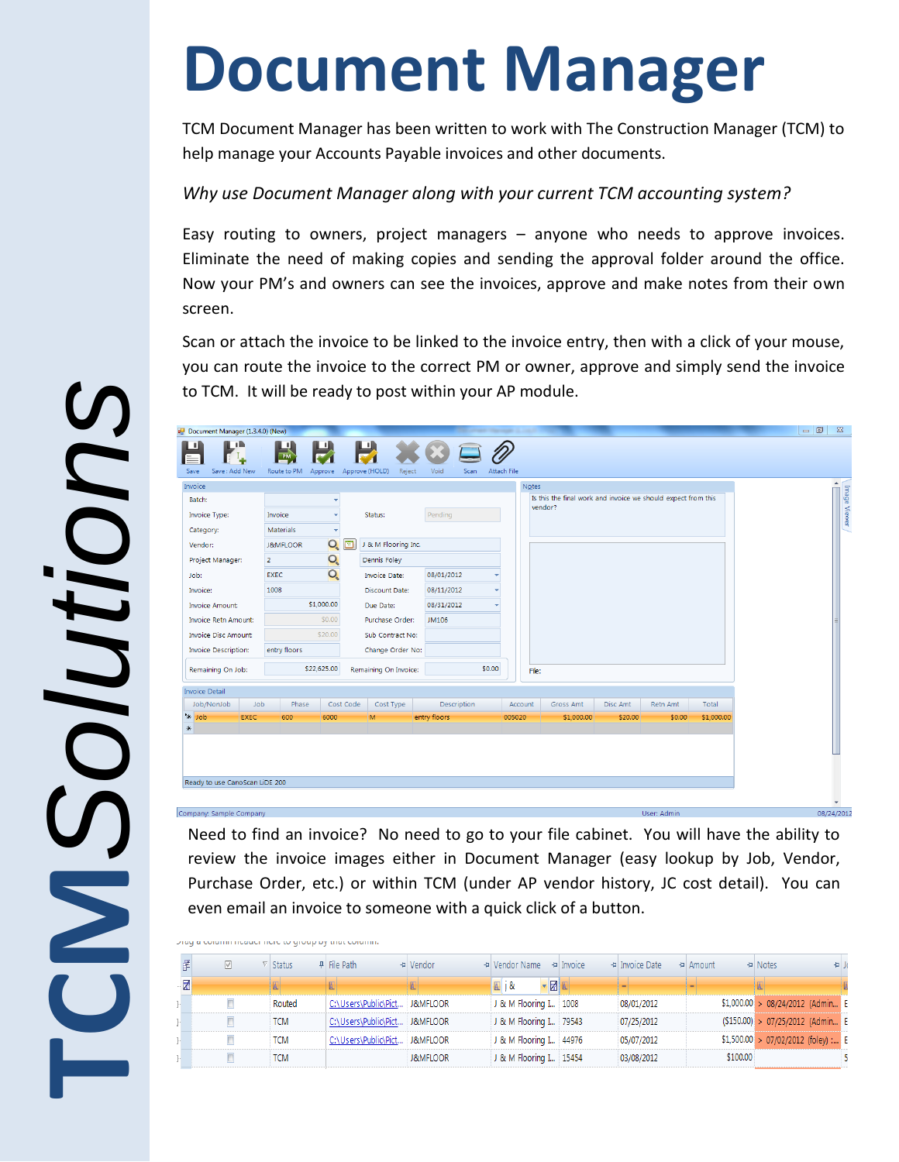## **Document Manager**

TCM Document Manager has been written to work with The Construction Manager (TCM) to help manage your Accounts Payable invoices and other documents.

## *Why use Document Manager along with your current TCM accounting system?*

Easy routing to owners, project managers – anyone who needs to approve invoices. Eliminate the need of making copies and sending the approval folder around the office. Now your PM's and owners can see the invoices, approve and make notes from their own screen.

Scan or attach the invoice to be linked to the invoice entry, then with a click of your mouse, you can route the invoice to the correct PM or owner, approve and simply send the invoice to TCM. It will be ready to post within your AP module.

| Save: Add New<br>Approve (HOLD)<br><b>Attach File</b><br>Route to PM<br>Approve<br>Invoice<br>Notes<br>Is this the final work and invoice we should expect from this<br>Batch:<br>vendor?<br>Status:<br>Pending<br>Invoice Type:<br>Invoice<br>Materials<br>Category:<br>$\mathbf{Q}_\mathrm{e}$<br>圖<br>J & M Flooring Inc.<br>Vendor:<br><b>J&amp;MFLOOR</b><br>O.<br>Project Manager:<br>Dennis Foley<br>O.<br><b>EXEC</b><br><b>Invoice Date:</b><br>08/01/2012<br>Job:<br>1008<br><b>Discount Date:</b><br>08/11/2012<br>Invoice:<br>\$1,000.00<br>08/31/2012<br><b>Invoice Amount:</b><br>Due Date:<br>\$0.00<br>JM106<br><b>Invoice Retn Amount:</b><br>Purchase Order:<br>\$20.00<br><b>Invoice Disc Amount:</b><br>Sub Contract No:<br>entry floors<br><b>Invoice Description:</b><br>Change Order No:<br>\$22,625.00<br>\$0.00<br>Remaining On Job:<br>Remaining On Invoice:<br>File:<br><b>Invoice Detail</b><br>Job/NonJob<br>Phase<br>Cost Code<br>Cost Type<br>Description<br>Account<br><b>Gross Amt</b><br><b>Disc Amt</b><br>Total<br>Job<br>Retn Am<br>* Job<br><b>EXEC</b><br>entry floors<br>005020<br>600<br>6000<br>\$1,000.00<br>\$20.00<br>\$0.00<br>\$1,000.00<br>Ready to use CanoScan LiDE 200<br>User: Admi | Company: Sample Compan<br>Need to find an invoice? No need to go to your file cabinet. You will have the ability to | Document Manager (1.3.4.0) (New) |  |  |  |  |  | $\Box$ $\Box$ |
|-----------------------------------------------------------------------------------------------------------------------------------------------------------------------------------------------------------------------------------------------------------------------------------------------------------------------------------------------------------------------------------------------------------------------------------------------------------------------------------------------------------------------------------------------------------------------------------------------------------------------------------------------------------------------------------------------------------------------------------------------------------------------------------------------------------------------------------------------------------------------------------------------------------------------------------------------------------------------------------------------------------------------------------------------------------------------------------------------------------------------------------------------------------------------------------------------------------------------------------------|---------------------------------------------------------------------------------------------------------------------|----------------------------------|--|--|--|--|--|---------------|
|                                                                                                                                                                                                                                                                                                                                                                                                                                                                                                                                                                                                                                                                                                                                                                                                                                                                                                                                                                                                                                                                                                                                                                                                                                         |                                                                                                                     |                                  |  |  |  |  |  |               |
|                                                                                                                                                                                                                                                                                                                                                                                                                                                                                                                                                                                                                                                                                                                                                                                                                                                                                                                                                                                                                                                                                                                                                                                                                                         |                                                                                                                     |                                  |  |  |  |  |  |               |
|                                                                                                                                                                                                                                                                                                                                                                                                                                                                                                                                                                                                                                                                                                                                                                                                                                                                                                                                                                                                                                                                                                                                                                                                                                         |                                                                                                                     |                                  |  |  |  |  |  |               |
|                                                                                                                                                                                                                                                                                                                                                                                                                                                                                                                                                                                                                                                                                                                                                                                                                                                                                                                                                                                                                                                                                                                                                                                                                                         |                                                                                                                     |                                  |  |  |  |  |  |               |
|                                                                                                                                                                                                                                                                                                                                                                                                                                                                                                                                                                                                                                                                                                                                                                                                                                                                                                                                                                                                                                                                                                                                                                                                                                         |                                                                                                                     |                                  |  |  |  |  |  |               |
|                                                                                                                                                                                                                                                                                                                                                                                                                                                                                                                                                                                                                                                                                                                                                                                                                                                                                                                                                                                                                                                                                                                                                                                                                                         |                                                                                                                     |                                  |  |  |  |  |  |               |
|                                                                                                                                                                                                                                                                                                                                                                                                                                                                                                                                                                                                                                                                                                                                                                                                                                                                                                                                                                                                                                                                                                                                                                                                                                         |                                                                                                                     |                                  |  |  |  |  |  |               |
|                                                                                                                                                                                                                                                                                                                                                                                                                                                                                                                                                                                                                                                                                                                                                                                                                                                                                                                                                                                                                                                                                                                                                                                                                                         |                                                                                                                     |                                  |  |  |  |  |  |               |
|                                                                                                                                                                                                                                                                                                                                                                                                                                                                                                                                                                                                                                                                                                                                                                                                                                                                                                                                                                                                                                                                                                                                                                                                                                         |                                                                                                                     |                                  |  |  |  |  |  |               |
|                                                                                                                                                                                                                                                                                                                                                                                                                                                                                                                                                                                                                                                                                                                                                                                                                                                                                                                                                                                                                                                                                                                                                                                                                                         |                                                                                                                     |                                  |  |  |  |  |  |               |
|                                                                                                                                                                                                                                                                                                                                                                                                                                                                                                                                                                                                                                                                                                                                                                                                                                                                                                                                                                                                                                                                                                                                                                                                                                         |                                                                                                                     |                                  |  |  |  |  |  |               |
|                                                                                                                                                                                                                                                                                                                                                                                                                                                                                                                                                                                                                                                                                                                                                                                                                                                                                                                                                                                                                                                                                                                                                                                                                                         |                                                                                                                     |                                  |  |  |  |  |  |               |
|                                                                                                                                                                                                                                                                                                                                                                                                                                                                                                                                                                                                                                                                                                                                                                                                                                                                                                                                                                                                                                                                                                                                                                                                                                         |                                                                                                                     |                                  |  |  |  |  |  |               |
|                                                                                                                                                                                                                                                                                                                                                                                                                                                                                                                                                                                                                                                                                                                                                                                                                                                                                                                                                                                                                                                                                                                                                                                                                                         |                                                                                                                     |                                  |  |  |  |  |  |               |
|                                                                                                                                                                                                                                                                                                                                                                                                                                                                                                                                                                                                                                                                                                                                                                                                                                                                                                                                                                                                                                                                                                                                                                                                                                         |                                                                                                                     |                                  |  |  |  |  |  |               |
|                                                                                                                                                                                                                                                                                                                                                                                                                                                                                                                                                                                                                                                                                                                                                                                                                                                                                                                                                                                                                                                                                                                                                                                                                                         |                                                                                                                     |                                  |  |  |  |  |  |               |
|                                                                                                                                                                                                                                                                                                                                                                                                                                                                                                                                                                                                                                                                                                                                                                                                                                                                                                                                                                                                                                                                                                                                                                                                                                         |                                                                                                                     |                                  |  |  |  |  |  |               |
|                                                                                                                                                                                                                                                                                                                                                                                                                                                                                                                                                                                                                                                                                                                                                                                                                                                                                                                                                                                                                                                                                                                                                                                                                                         |                                                                                                                     |                                  |  |  |  |  |  |               |
|                                                                                                                                                                                                                                                                                                                                                                                                                                                                                                                                                                                                                                                                                                                                                                                                                                                                                                                                                                                                                                                                                                                                                                                                                                         |                                                                                                                     |                                  |  |  |  |  |  |               |
| even email an invoice to someone with a quick click of a button.                                                                                                                                                                                                                                                                                                                                                                                                                                                                                                                                                                                                                                                                                                                                                                                                                                                                                                                                                                                                                                                                                                                                                                        |                                                                                                                     |                                  |  |  |  |  |  |               |
|                                                                                                                                                                                                                                                                                                                                                                                                                                                                                                                                                                                                                                                                                                                                                                                                                                                                                                                                                                                                                                                                                                                                                                                                                                         | pray a column neader nere to group by that column.                                                                  |                                  |  |  |  |  |  |               |
| review the invoice images either in Document Manager (easy lookup by Job, Vendor,<br>Purchase Order, etc.) or within TCM (under AP vendor history, JC cost detail). You can<br>$\checkmark$<br>$\nabla$ Status<br>P File Path<br>+ Vendor<br>+ Vendor Name + Invoice<br>+ Invoice Date<br>+ Notes<br>+ Amount                                                                                                                                                                                                                                                                                                                                                                                                                                                                                                                                                                                                                                                                                                                                                                                                                                                                                                                           | 团                                                                                                                   |                                  |  |  |  |  |  |               |
| Z<br><b>- 2 4</b><br>回<br>$\boxed{4}$ j &                                                                                                                                                                                                                                                                                                                                                                                                                                                                                                                                                                                                                                                                                                                                                                                                                                                                                                                                                                                                                                                                                                                                                                                               |                                                                                                                     |                                  |  |  |  |  |  |               |
| $$1,000.00 > 08/24/2012$ (Admin E<br>Routed<br>C:\Users\Public\Pict J&MFLOOR<br>J & M Flooring L 1008<br>08/01/2012                                                                                                                                                                                                                                                                                                                                                                                                                                                                                                                                                                                                                                                                                                                                                                                                                                                                                                                                                                                                                                                                                                                     |                                                                                                                     |                                  |  |  |  |  |  |               |
| $\Box$<br>(\$150.00) > 07/25/2012 (Admin E<br><b>TCM</b><br>C:\Users\Public\Pict J&MFLOOR<br>J & M Flooring L., 79543<br>07/25/2012                                                                                                                                                                                                                                                                                                                                                                                                                                                                                                                                                                                                                                                                                                                                                                                                                                                                                                                                                                                                                                                                                                     |                                                                                                                     |                                  |  |  |  |  |  |               |

| 圕 |  | Status     | P File Path                   | + Vendor            | + Vendor Name                   | <b>P</b> Invoice | <b>P</b> Invoice Date | + Amount |          | + Notes                              | 中 人 |
|---|--|------------|-------------------------------|---------------------|---------------------------------|------------------|-----------------------|----------|----------|--------------------------------------|-----|
| Z |  |            |                               |                     | <b>- 7 4</b><br>$\boxed{4}$ i & |                  |                       |          |          |                                      |     |
|   |  | Routed     | C:\Users\Public\Pict J&MFLOOR |                     | J & M Flooring I 1008           |                  | 08/01/2012            |          |          | $$1,000.00 > 08/24/2012$ (Admin E    |     |
|   |  | <b>TCM</b> | C:\Users\Public\Pict J&MFLOOR |                     | J & M Flooring I 79543          |                  | 07/25/2012            |          |          | (\$150.00) > 07/25/2012 (Admin E     |     |
|   |  | <b>TCM</b> | C:\Users\Public\Pict J&MFLOOR |                     | J & M Flooring L., 44976        |                  | 05/07/2012            |          |          | $$1,500.00 > 07/02/2012$ (foley) : E |     |
|   |  | <b>TCM</b> |                               | <b>J&amp;MFLOOR</b> | J & M Flooring I 15454          |                  | 03/08/2012            |          | \$100.00 |                                      |     |